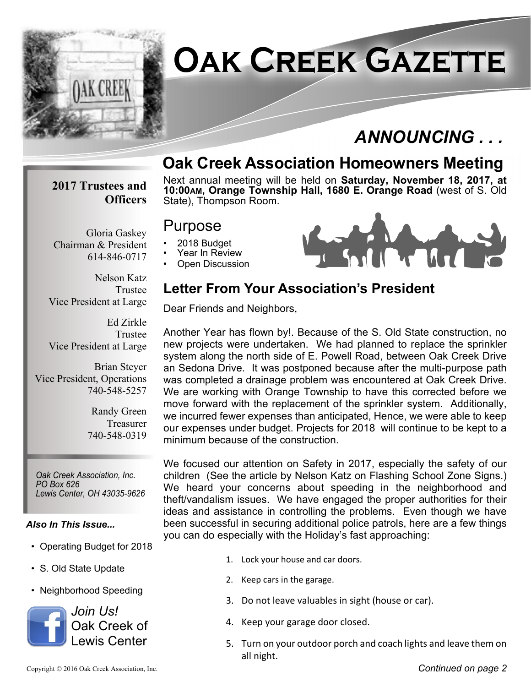

# **Oak Creek Gazette**

# *ANNOUNCING . . .*

# **Oak Creek Association Homeowners Meeting**

#### **2017 Trustees and Officers**

Chairman & President

Gloria Gaskey

614-846-0717

Next annual meeting will be held on **Saturday, November 18, 2017, at 10:00AM, Orange Township Hall, 1680 E. Orange Road** (west of S. Old State), Thompson Room.

### Purpose

- 2018 Budget
- Year In Review
- Open Discussion



Nelson Katz Trustee Vice President at Large

Ed Zirkle Trustee Vice President at Large

Brian Steyer Vice President, Operations 740-548-5257

> Randy Green Treasurer 740-548-0319

*Oak Creek Association, Inc. PO Box 626 Lewis Center, OH 43035-9626*

#### *Also In This Issue...*

- Operating Budget for 2018
- S. Old State Update
- Neighborhood Speeding



# **Letter From Your Association's President**

Dear Friends and Neighbors,

Another Year has flown by!. Because of the S. Old State construction, no new projects were undertaken. We had planned to replace the sprinkler system along the north side of E. Powell Road, between Oak Creek Drive an Sedona Drive. It was postponed because after the multi-purpose path was completed a drainage problem was encountered at Oak Creek Drive. We are working with Orange Township to have this corrected before we move forward with the replacement of the sprinkler system. Additionally, we incurred fewer expenses than anticipated, Hence, we were able to keep our expenses under budget. Projects for 2018 will continue to be kept to a minimum because of the construction.

We focused our attention on Safety in 2017, especially the safety of our children (See the article by Nelson Katz on Flashing School Zone Signs.) We heard your concerns about speeding in the neighborhood and theft/vandalism issues. We have engaged the proper authorities for their ideas and assistance in controlling the problems. Even though we have been successful in securing additional police patrols, here are a few things you can do especially with the Holiday's fast approaching:

- 1. Lock your house and car doors.
- 2. Keep cars in the garage.
- 3. Do not leave valuables in sight (house or car).
- 4. Keep your garage door closed.
- 5. Turn on your outdoor porch and coach lights and leave them on all night.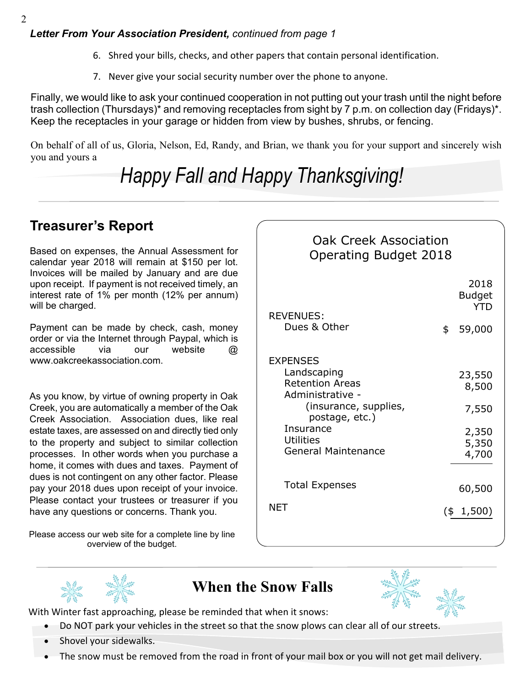- 6. Shred your bills, checks, and other papers that contain personal identification.
- 7. Never give your social security number over the phone to anyone.

Finally, we would like to ask your continued cooperation in not putting out your trash until the night before trash collection (Thursdays)\* and removing receptacles from sight by 7 p.m. on collection day (Fridays)\*. Keep the receptacles in your garage or hidden from view by bushes, shrubs, or fencing.

On behalf of all of us, Gloria, Nelson, Ed, Randy, and Brian, we thank you for your support and sincerely wish you and yours a

# *Happy Fall and Happy Thanksgiving!*

## **Treasurer's Report**

Based on expenses, the Annual Assessment for calendar year 2018 will remain at \$150 per lot. Invoices will be mailed by January and are due upon receipt. If payment is not received timely, an interest rate of 1% per month (12% per annum) will be charged.

Payment can be made by check, cash, money order or via the Internet through Paypal, which is accessible via our website @ www.oakcreekassociation.com.

As you know, by virtue of owning property in Oak Creek, you are automatically a member of the Oak Creek Association. Association dues, like real estate taxes, are assessed on and directly tied only to the property and subject to similar collection processes. In other words when you purchase a home, it comes with dues and taxes. Payment of dues is not contingent on any other factor. Please pay your 2018 dues upon receipt of your invoice. Please contact your trustees or treasurer if you have any questions or concerns. Thank you.

Please access our web site for a complete line by line overview of the budget.

### Oak Creek Association Operating Budget 2018

| <b>REVENUES:</b>                                          | 2018<br><b>Budget</b><br><b>YTD</b> |
|-----------------------------------------------------------|-------------------------------------|
| Dues & Other                                              | \$<br>59,000                        |
| <b>EXPENSES</b>                                           |                                     |
| Landscaping<br><b>Retention Areas</b><br>Administrative - | 23,550<br>8,500                     |
| (insurance, supplies,<br>postage, etc.)                   | 7,550                               |
| Insurance                                                 | 2,350                               |
| <b>Utilities</b>                                          | 5,350                               |
| <b>General Maintenance</b>                                | 4,700                               |
| <b>Total Expenses</b>                                     | 60,500                              |
| NET                                                       | $(* 1,500)$                         |
|                                                           |                                     |

### **When the Snow Falls**



With Winter fast approaching, please be reminded that when it snows:

- Do NOT park your vehicles in the street so that the snow plows can clear all of our streets.
- · Shovel your sidewalks.
- The snow must be removed from the road in front of your mail box or you will not get mail delivery.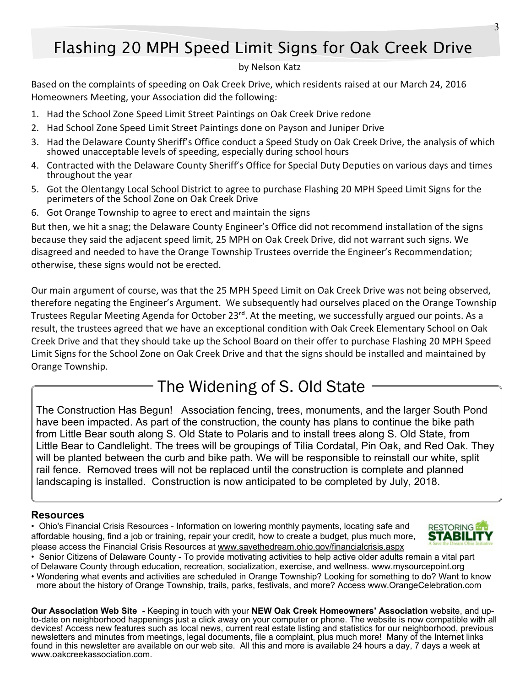# Flashing 20 MPH Speed Limit Signs for Oak Creek Drive

#### by Nelson Katz

Based on the complaints of speeding on Oak Creek Drive, which residents raised at our March 24, 2016 Homeowners Meeting, your Association did the following:

- 1. Had the School Zone Speed Limit Street Paintings on Oak Creek Drive redone
- 2. Had School Zone Speed Limit Street Paintings done on Payson and Juniper Drive
- 3. Had the Delaware County Sheriff's Office conduct a Speed Study on Oak Creek Drive, the analysis of which showed unacceptable levels of speeding, especially during school hours
- 4. Contracted with the Delaware County Sheriff's Office for Special Duty Deputies on various days and times throughout the year
- 5. Got the Olentangy Local School District to agree to purchase Flashing 20 MPH Speed Limit Signs for the perimeters of the School Zone on Oak Creek Drive
- 6. Got Orange Township to agree to erect and maintain the signs

But then, we hit a snag; the Delaware County Engineer's Office did not recommend installation of the signs because they said the adjacent speed limit, 25 MPH on Oak Creek Drive, did not warrant such signs. We disagreed and needed to have the Orange Township Trustees override the Engineer's Recommendation; otherwise, these signs would not be erected.

Our main argument of course, was that the 25 MPH Speed Limit on Oak Creek Drive was not being observed, therefore negating the Engineer's Argument. We subsequently had ourselves placed on the Orange Township Trustees Regular Meeting Agenda for October 23<sup>rd</sup>. At the meeting, we successfully argued our points. As a result, the trustees agreed that we have an exceptional condition with Oak Creek Elementary School on Oak Creek Drive and that they should take up the School Board on their offer to purchase Flashing 20 MPH Speed Limit Signs for the School Zone on Oak Creek Drive and that the signs should be installed and maintained by Orange Township.

## The Widening of S. Old State

The Construction Has Begun! Association fencing, trees, monuments, and the larger South Pond have been impacted. As part of the construction, the county has plans to continue the bike path from Little Bear south along S. Old State to Polaris and to install trees along S. Old State, from Little Bear to Candlelight. The trees will be groupings of Tilia Cordatal, Pin Oak, and Red Oak. They will be planted between the curb and bike path. We will be responsible to reinstall our white, split rail fence. Removed trees will not be replaced until the construction is complete and planned landscaping is installed. Construction is now anticipated to be completed by July, 2018.

#### **Resources**

• Ohio's Financial Crisis Resources - Information on lowering monthly payments, locating safe and affordable housing, find a job or training, repair your credit, how to create a budget, plus much more, please access the Financial Crisis Resources at www.savethedream.ohio.gov/financialcrisis.aspx



• Senior Citizens of Delaware County - To provide motivating activities to help active older adults remain a vital part of Delaware County through education, recreation, socialization, exercise, and wellness. www.mysourcepoint.org

• Wondering what events and activities are scheduled in Orange Township? Looking for something to do? Want to know more about the history of Orange Township, trails, parks, festivals, and more? Access www.OrangeCelebration.com

**Our Association Web Site** *-* Keeping in touch with your **NEW Oak Creek Homeowners' Association** website, and upto-date on neighborhood happenings just a click away on your computer or phone. The website is now compatible with all devices! Access new features such as local news, current real estate listing and statistics for our neighborhood, previous newsletters and minutes from meetings, legal documents, file a complaint, plus much more! Many of the Internet links found in this newsletter are available on our web site. All this and more is available 24 hours a day, 7 days a week at www.oakcreekassociation.com.